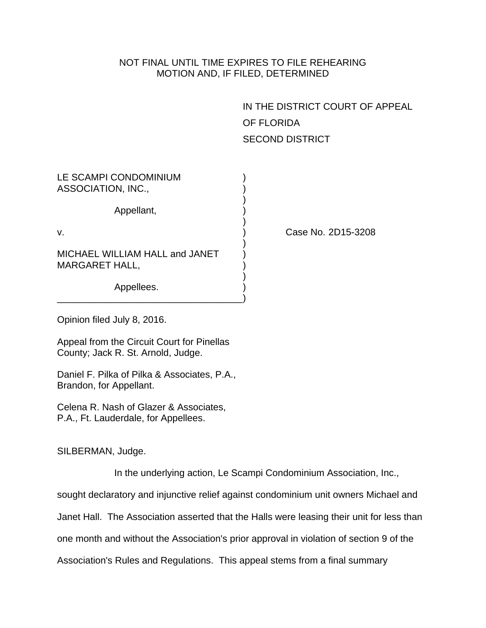## NOT FINAL UNTIL TIME EXPIRES TO FILE REHEARING MOTION AND, IF FILED, DETERMINED

IN THE DISTRICT COURT OF APPEAL OF FLORIDA SECOND DISTRICT

| LE SCAMPI CONDOMINIUM                                   |  |
|---------------------------------------------------------|--|
| ASSOCIATION, INC.,                                      |  |
| Appellant,                                              |  |
| V.                                                      |  |
| MICHAEL WILLIAM HALL and JANET<br><b>MARGARET HALL,</b> |  |
| Appellees.                                              |  |

Case No. 2D15-3208

Opinion filed July 8, 2016.

Appeal from the Circuit Court for Pinellas County; Jack R. St. Arnold, Judge.

Daniel F. Pilka of Pilka & Associates, P.A., Brandon, for Appellant.

Celena R. Nash of Glazer & Associates, P.A., Ft. Lauderdale, for Appellees.

SILBERMAN, Judge.

In the underlying action, Le Scampi Condominium Association, Inc.,

sought declaratory and injunctive relief against condominium unit owners Michael and

Janet Hall. The Association asserted that the Halls were leasing their unit for less than

one month and without the Association's prior approval in violation of section 9 of the

Association's Rules and Regulations. This appeal stems from a final summary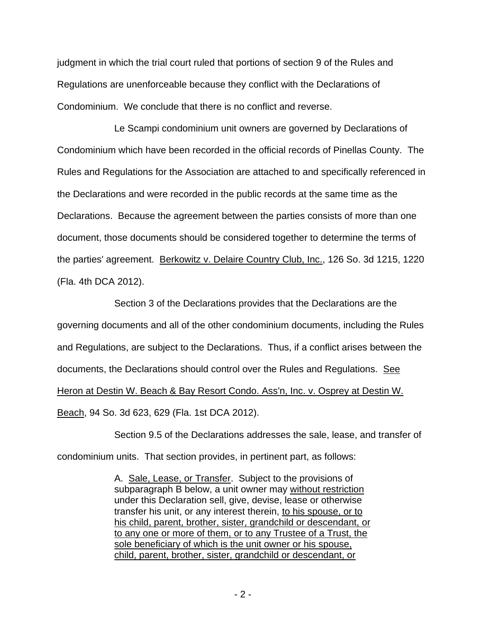judgment in which the trial court ruled that portions of section 9 of the Rules and Regulations are unenforceable because they conflict with the Declarations of Condominium. We conclude that there is no conflict and reverse.

Le Scampi condominium unit owners are governed by Declarations of Condominium which have been recorded in the official records of Pinellas County. The Rules and Regulations for the Association are attached to and specifically referenced in the Declarations and were recorded in the public records at the same time as the Declarations. Because the agreement between the parties consists of more than one document, those documents should be considered together to determine the terms of the parties' agreement. Berkowitz v. Delaire Country Club, Inc., 126 So. 3d 1215, 1220 (Fla. 4th DCA 2012).

Section 3 of the Declarations provides that the Declarations are the governing documents and all of the other condominium documents, including the Rules and Regulations, are subject to the Declarations. Thus, if a conflict arises between the documents, the Declarations should control over the Rules and Regulations. See Heron at Destin W. Beach & Bay Resort Condo. Ass'n, Inc. v. Osprey at Destin W. Beach, 94 So. 3d 623, 629 (Fla. 1st DCA 2012).

Section 9.5 of the Declarations addresses the sale, lease, and transfer of condominium units. That section provides, in pertinent part, as follows:

> A. Sale, Lease, or Transfer. Subject to the provisions of subparagraph B below, a unit owner may without restriction under this Declaration sell, give, devise, lease or otherwise transfer his unit, or any interest therein, to his spouse, or to his child, parent, brother, sister, grandchild or descendant, or to any one or more of them, or to any Trustee of a Trust, the sole beneficiary of which is the unit owner or his spouse, child, parent, brother, sister, grandchild or descendant, or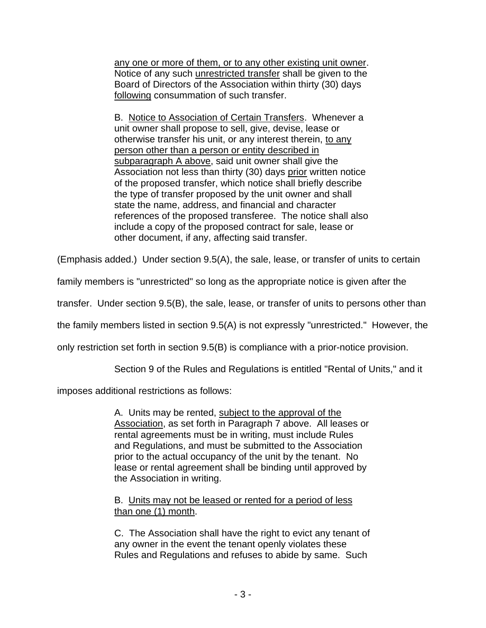any one or more of them, or to any other existing unit owner. Notice of any such unrestricted transfer shall be given to the Board of Directors of the Association within thirty (30) days following consummation of such transfer.

B. Notice to Association of Certain Transfers. Whenever a unit owner shall propose to sell, give, devise, lease or otherwise transfer his unit, or any interest therein, to any person other than a person or entity described in subparagraph A above, said unit owner shall give the Association not less than thirty (30) days prior written notice of the proposed transfer, which notice shall briefly describe the type of transfer proposed by the unit owner and shall state the name, address, and financial and character references of the proposed transferee. The notice shall also include a copy of the proposed contract for sale, lease or other document, if any, affecting said transfer.

(Emphasis added.) Under section 9.5(A), the sale, lease, or transfer of units to certain

family members is "unrestricted" so long as the appropriate notice is given after the

transfer. Under section 9.5(B), the sale, lease, or transfer of units to persons other than

the family members listed in section 9.5(A) is not expressly "unrestricted." However, the

only restriction set forth in section 9.5(B) is compliance with a prior-notice provision.

Section 9 of the Rules and Regulations is entitled "Rental of Units," and it

imposes additional restrictions as follows:

A. Units may be rented, subject to the approval of the Association, as set forth in Paragraph 7 above. All leases or rental agreements must be in writing, must include Rules and Regulations, and must be submitted to the Association prior to the actual occupancy of the unit by the tenant. No lease or rental agreement shall be binding until approved by the Association in writing.

B. Units may not be leased or rented for a period of less than one (1) month.

C. The Association shall have the right to evict any tenant of any owner in the event the tenant openly violates these Rules and Regulations and refuses to abide by same. Such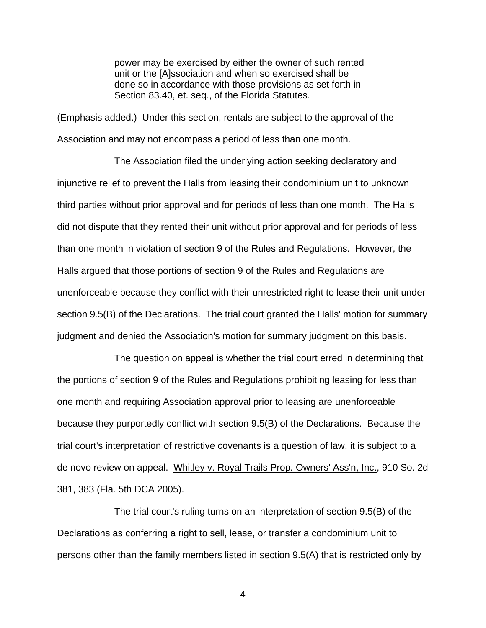power may be exercised by either the owner of such rented unit or the [A]ssociation and when so exercised shall be done so in accordance with those provisions as set forth in Section 83.40, et. seq., of the Florida Statutes.

(Emphasis added.) Under this section, rentals are subject to the approval of the Association and may not encompass a period of less than one month.

The Association filed the underlying action seeking declaratory and injunctive relief to prevent the Halls from leasing their condominium unit to unknown third parties without prior approval and for periods of less than one month. The Halls did not dispute that they rented their unit without prior approval and for periods of less than one month in violation of section 9 of the Rules and Regulations. However, the Halls argued that those portions of section 9 of the Rules and Regulations are unenforceable because they conflict with their unrestricted right to lease their unit under section 9.5(B) of the Declarations. The trial court granted the Halls' motion for summary judgment and denied the Association's motion for summary judgment on this basis.

The question on appeal is whether the trial court erred in determining that the portions of section 9 of the Rules and Regulations prohibiting leasing for less than one month and requiring Association approval prior to leasing are unenforceable because they purportedly conflict with section 9.5(B) of the Declarations. Because the trial court's interpretation of restrictive covenants is a question of law, it is subject to a de novo review on appeal. Whitley v. Royal Trails Prop. Owners' Ass'n, Inc., 910 So. 2d 381, 383 (Fla. 5th DCA 2005).

The trial court's ruling turns on an interpretation of section 9.5(B) of the Declarations as conferring a right to sell, lease, or transfer a condominium unit to persons other than the family members listed in section 9.5(A) that is restricted only by

- 4 -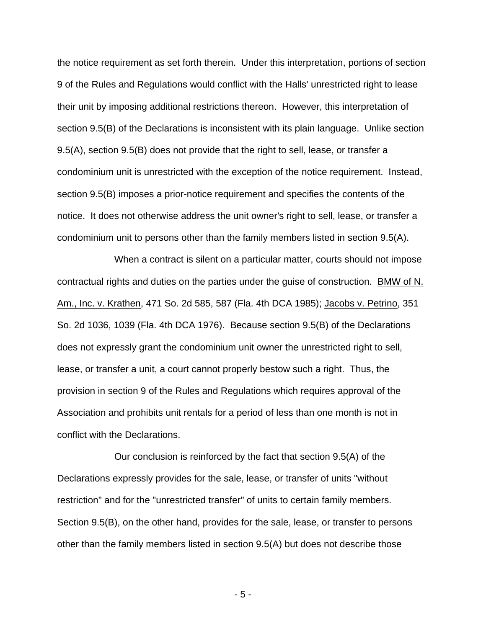the notice requirement as set forth therein. Under this interpretation, portions of section 9 of the Rules and Regulations would conflict with the Halls' unrestricted right to lease their unit by imposing additional restrictions thereon. However, this interpretation of section 9.5(B) of the Declarations is inconsistent with its plain language. Unlike section 9.5(A), section 9.5(B) does not provide that the right to sell, lease, or transfer a condominium unit is unrestricted with the exception of the notice requirement. Instead, section 9.5(B) imposes a prior-notice requirement and specifies the contents of the notice. It does not otherwise address the unit owner's right to sell, lease, or transfer a condominium unit to persons other than the family members listed in section 9.5(A).

When a contract is silent on a particular matter, courts should not impose contractual rights and duties on the parties under the guise of construction. BMW of N. Am., Inc. v. Krathen, 471 So. 2d 585, 587 (Fla. 4th DCA 1985); Jacobs v. Petrino, 351 So. 2d 1036, 1039 (Fla. 4th DCA 1976). Because section 9.5(B) of the Declarations does not expressly grant the condominium unit owner the unrestricted right to sell, lease, or transfer a unit, a court cannot properly bestow such a right. Thus, the provision in section 9 of the Rules and Regulations which requires approval of the Association and prohibits unit rentals for a period of less than one month is not in conflict with the Declarations.

Our conclusion is reinforced by the fact that section 9.5(A) of the Declarations expressly provides for the sale, lease, or transfer of units "without restriction" and for the "unrestricted transfer" of units to certain family members. Section 9.5(B), on the other hand, provides for the sale, lease, or transfer to persons other than the family members listed in section 9.5(A) but does not describe those

- 5 -